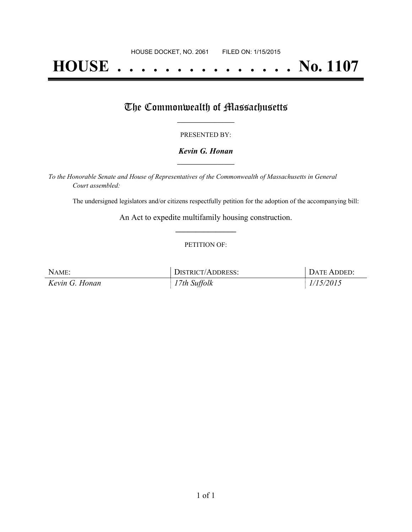# **HOUSE . . . . . . . . . . . . . . . No. 1107**

### The Commonwealth of Massachusetts

#### PRESENTED BY:

#### *Kevin G. Honan* **\_\_\_\_\_\_\_\_\_\_\_\_\_\_\_\_\_**

*To the Honorable Senate and House of Representatives of the Commonwealth of Massachusetts in General Court assembled:*

The undersigned legislators and/or citizens respectfully petition for the adoption of the accompanying bill:

An Act to expedite multifamily housing construction. **\_\_\_\_\_\_\_\_\_\_\_\_\_\_\_**

#### PETITION OF:

| NAME:          | <b>DISTRICT/ADDRESS:</b> | DATE ADDED: |
|----------------|--------------------------|-------------|
| Kevin G. Honan | 17th Suffolk             | 1/15/2015   |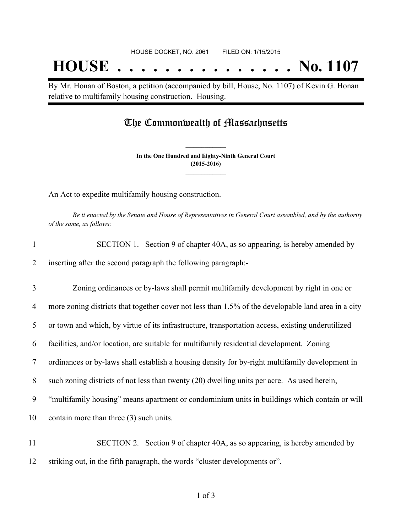## **HOUSE . . . . . . . . . . . . . . . No. 1107**

By Mr. Honan of Boston, a petition (accompanied by bill, House, No. 1107) of Kevin G. Honan relative to multifamily housing construction. Housing.

### The Commonwealth of Massachusetts

**In the One Hundred and Eighty-Ninth General Court (2015-2016) \_\_\_\_\_\_\_\_\_\_\_\_\_\_\_**

**\_\_\_\_\_\_\_\_\_\_\_\_\_\_\_**

An Act to expedite multifamily housing construction.

Be it enacted by the Senate and House of Representatives in General Court assembled, and by the authority *of the same, as follows:*

| 1              | SECTION 1. Section 9 of chapter 40A, as so appearing, is hereby amended by                          |
|----------------|-----------------------------------------------------------------------------------------------------|
| 2              | inserting after the second paragraph the following paragraph:-                                      |
| 3              | Zoning ordinances or by-laws shall permit multifamily development by right in one or                |
| 4              | more zoning districts that together cover not less than 1.5% of the developable land area in a city |
| 5              | or town and which, by virtue of its infrastructure, transportation access, existing underutilized   |
| 6              | facilities, and/or location, are suitable for multifamily residential development. Zoning           |
| $\overline{7}$ | ordinances or by-laws shall establish a housing density for by-right multifamily development in     |
| 8              | such zoning districts of not less than twenty (20) dwelling units per acre. As used herein,         |
| 9              | "multifamily housing" means apartment or condominium units in buildings which contain or will       |
| 10             | contain more than three $(3)$ such units.                                                           |
| 11             | SECTION 2. Section 9 of chapter 40A, as so appearing, is hereby amended by                          |
| 12             | striking out, in the fifth paragraph, the words "cluster developments or".                          |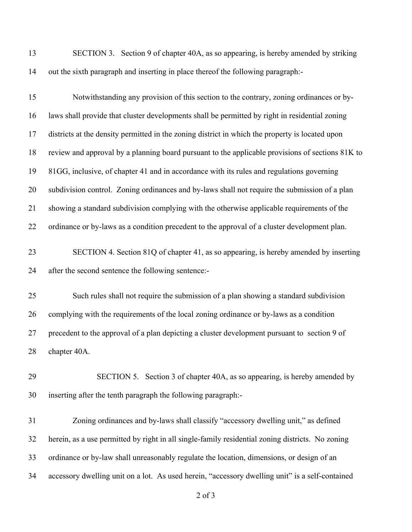SECTION 3. Section 9 of chapter 40A, as so appearing, is hereby amended by striking out the sixth paragraph and inserting in place thereof the following paragraph:-

| 15 | Notwithstanding any provision of this section to the contrary, zoning ordinances or by-          |
|----|--------------------------------------------------------------------------------------------------|
| 16 | laws shall provide that cluster developments shall be permitted by right in residential zoning   |
| 17 | districts at the density permitted in the zoning district in which the property is located upon  |
| 18 | review and approval by a planning board pursuant to the applicable provisions of sections 81K to |
| 19 | 81GG, inclusive, of chapter 41 and in accordance with its rules and regulations governing        |
| 20 | subdivision control. Zoning ordinances and by-laws shall not require the submission of a plan    |
| 21 | showing a standard subdivision complying with the otherwise applicable requirements of the       |
| 22 | ordinance or by-laws as a condition precedent to the approval of a cluster development plan.     |
| 23 | SECTION 4. Section 81Q of chapter 41, as so appearing, is hereby amended by inserting            |
| 24 | after the second sentence the following sentence:-                                               |
| 25 | Such rules shall not require the submission of a plan showing a standard subdivision             |
| 26 | complying with the requirements of the local zoning ordinance or by-laws as a condition          |
| 27 | precedent to the approval of a plan depicting a cluster development pursuant to section 9 of     |
| 28 | chapter 40A.                                                                                     |
| 29 | SECTION 5. Section 3 of chapter 40A, as so appearing, is hereby amended by                       |
| 30 | inserting after the tenth paragraph the following paragraph:-                                    |

 Zoning ordinances and by-laws shall classify "accessory dwelling unit," as defined herein, as a use permitted by right in all single-family residential zoning districts. No zoning ordinance or by-law shall unreasonably regulate the location, dimensions, or design of an accessory dwelling unit on a lot. As used herein, "accessory dwelling unit" is a self-contained

of 3